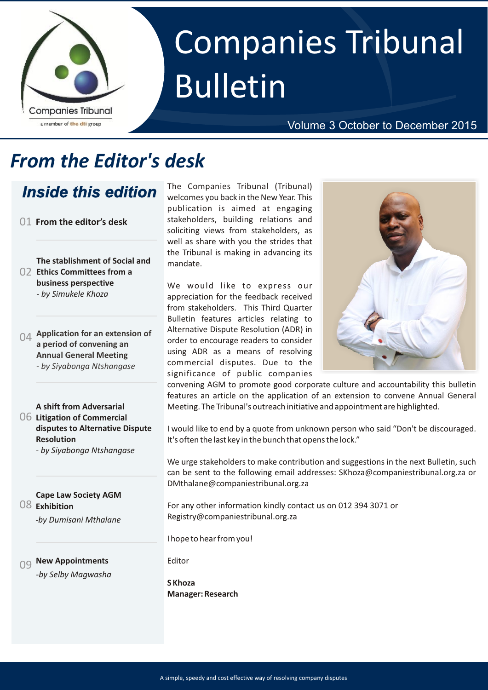

# Companies Tribunal Bulletin

#### Volume 3 October to December 2015

# *From the Editor's desk*

### *Inside this edition*

01 **From the editor's desk**

**The stablishment of Social and Ethics Committees from a**  02 **business perspective**  *- by Simukele Khoza*

04 **Application for an extension of a period of convening an Annual General Meeting**  *- by Siyabonga Ntshangase*

**A shift from Adversarial Litigation of Commercial**  06 **disputes to Alternative Dispute Resolution**

*- by Siyabonga Ntshangase*

08 **Exhibition Cape Law Society AGM** 

*-by Dumisani Mthalane*

#### **New Appointments** *-by Selby Magwasha*

The Companies Tribunal (Tribunal) welcomes you back in the New Year. This publication is aimed at engaging stakeholders, building relations and soliciting views from stakeholders, as well as share with you the strides that the Tribunal is making in advancing its mandate.

We would like to express our appreciation for the feedback received from stakeholders. This Third Quarter Bulletin features articles relating to Alternative Dispute Resolution (ADR) in order to encourage readers to consider using ADR as a means of resolving commercial disputes. Due to the significance of public companies



convening AGM to promote good corporate culture and accountability this bulletin features an article on the application of an extension to convene Annual General Meeting. The Tribunal's outreach initiative and appointment are highlighted.

I would like to end by a quote from unknown person who said "Don't be discouraged. It's often the last key in the bunch that opens the lock."

We urge stakeholders to make contribution and suggestions in the next Bulletin, such can be sent to the following email addresses: SKhoza@companiestribunal.org.za or DMthalane@companiestribunal.org.za

For any other information kindly contact us on 012 394 3071 or Registry@companiestribunal.org.za

I hope to hear from you!

Editor

**S Khoza Manager: Research**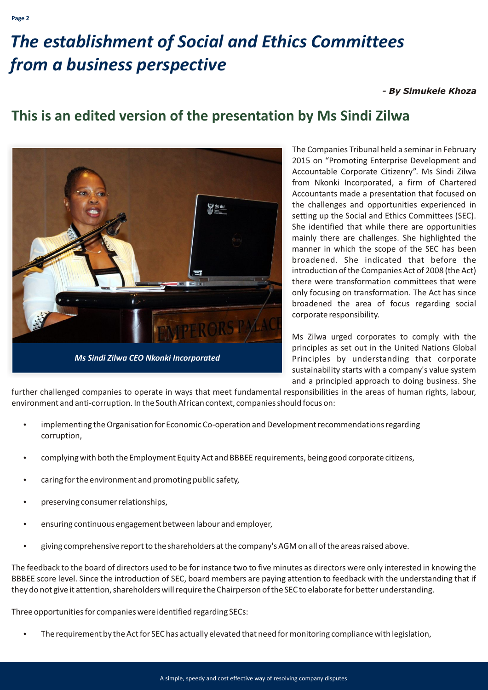# *The establishment of Social and Ethics Committees from a business perspective*

#### *- By Simukele Khoza*

### **This is an edited version of the presentation by Ms Sindi Zilwa**



The Companies Tribunal held a seminar in February 2015 on "Promoting Enterprise Development and Accountable Corporate Citizenry". Ms Sindi Zilwa from Nkonki Incorporated, a firm of Chartered Accountants made a presentation that focused on the challenges and opportunities experienced in setting up the Social and Ethics Committees (SEC). She identified that while there are opportunities mainly there are challenges. She highlighted the manner in which the scope of the SEC has been broadened. She indicated that before the introduction of the Companies Act of 2008 (the Act) there were transformation committees that were only focusing on transformation. The Act has since broadened the area of focus regarding social corporate responsibility.

Ms Zilwa urged corporates to comply with the principles as set out in the United Nations Global Principles by understanding that corporate sustainability starts with a company's value system and a principled approach to doing business. She

further challenged companies to operate in ways that meet fundamental responsibilities in the areas of human rights, labour, environment and anti-corruption. In the South African context, companies should focus on:

- implementing the Organisation for Economic Co-operation and Development recommendations regarding corruption,
- ?complying with both the Employment Equity Act and BBBEE requirements, being good corporate citizens,
- caring for the environment and promoting public safety,
- preserving consumer relationships,
- ?ensuring continuous engagement between labour and employer,
- ?giving comprehensive report to the shareholders at the company's AGM on all of the areas raised above.

The feedback to the board of directors used to be for instance two to five minutes as directors were only interested in knowing the BBBEE score level. Since the introduction of SEC, board members are paying attention to feedback with the understanding that if they do not give it attention, shareholders will require the Chairperson of the SEC to elaborate for better understanding.

Three opportunities for companies were identified regarding SECs:

The requirement by the Act for SEC has actually elevated that need for monitoring compliance with legislation,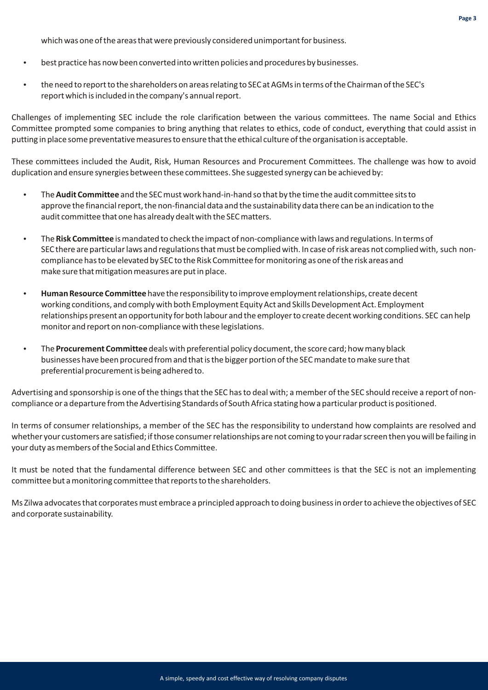which was one of the areas that were previously considered unimportant for business.

- ?best practice has now been converted into written policies and procedures by businesses.
- the need to report to the shareholders on areas relating to SEC at AGMs in terms of the Chairman of the SEC's report which is included in the company's annual report.

Challenges of implementing SEC include the role clarification between the various committees. The name Social and Ethics Committee prompted some companies to bring anything that relates to ethics, code of conduct, everything that could assist in putting in place some preventative measures to ensure that the ethical culture of the organisation is acceptable.

These committees included the Audit, Risk, Human Resources and Procurement Committees. The challenge was how to avoid duplication and ensure synergies between these committees. She suggested synergy can be achieved by:

- ?The **Audit Committee** and the SEC must work hand-in-hand so that by the time the audit committee sits to approve the financial report, the non-financial data and the sustainability data there can be an indication to the audit committee that one has already dealt with the SEC matters.
- ?The **Risk Committee** is mandated to check the impact of non-compliance with laws and regulations. In terms of SEC there are particular laws and regulations that must be complied with. In case of risk areas not complied with, such noncompliance has to be elevated by SEC to the Risk Committee for monitoring as one of the risk areas and make sure that mitigation measures are put in place.
- ?**Human Resource Committee** have the responsibility to improve employment relationships, create decent working conditions, and comply with both Employment Equity Act and Skills Development Act. Employment relationships present an opportunity for both labour and the employer to create decent working conditions. SEC can help monitor and report on non-compliance with these legislations.
- ?The **Procurement Committee** deals with preferential policy document, the score card; how many black businesses have been procured from and that is the bigger portion of the SEC mandate to make sure that preferential procurement is being adhered to.

Advertising and sponsorship is one of the things that the SEC has to deal with; a member of the SEC should receive a report of noncompliance or a departure from the Advertising Standards of South Africa stating how a particular product is positioned.

In terms of consumer relationships, a member of the SEC has the responsibility to understand how complaints are resolved and whether your customers are satisfied; if those consumer relationships are not coming to your radar screen then you will be failing in your duty as members of the Social and Ethics Committee.

It must be noted that the fundamental difference between SEC and other committees is that the SEC is not an implementing committee but a monitoring committee that reports to the shareholders.

Ms Zilwa advocates that corporates must embrace a principled approach to doing business in order to achieve the objectives of SEC and corporate sustainability.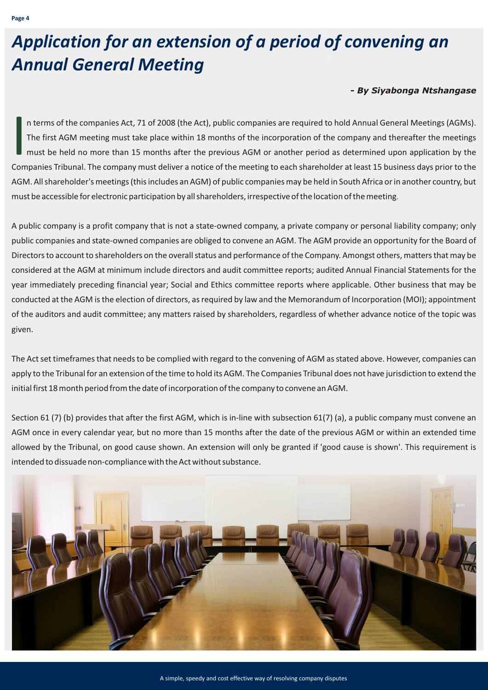# *Application for an extension of a period of convening an Annual General Meeting*

#### *- By Siyabonga Ntshangase*

In terms of the companies Act, 71 of 2008 (the Act), public companies are required to hold Annual General Meetings (AGMs).<br>The first AGM meeting must take place within 18 months of the incorporation of the company and ther n terms of the companies Act, 71 of 2008 (the Act), public companies are required to hold Annual General Meetings (AGMs). The first AGM meeting must take place within 18 months of the incorporation of the company and thereafter the meetings must be held no more than 15 months after the previous AGM or another period as determined upon application by the AGM. All shareholder's meetings (this includes an AGM) of public companies may be held in South Africa or in another country, but must be accessible for electronic participation by all shareholders, irrespective of the location of the meeting .

A public company is a profit company that is not a state-owned company, a private company or personal liability company; only public companies and state-owned companies are obliged to convene an AGM. The AGM provide an opportunity for the Board of Directors to account to shareholders on the overall status and performance of the Company. Amongst others, matters that may be considered at the AGM at minimum include directors and audit committee reports; audited Annual Financial Statements for the year immediately preceding financial year; Social and Ethics committee reports where applicable. Other business that may be conducted at the AGM is the election of directors, as required by law and the Memorandum of Incorporation (MOI); appointment of the auditors and audit committee; any matters raised by shareholders, regardless of whether advance notice of the topic was given.

The Act set timeframes that needs to be complied with regard to the convening of AGM as stated above. However, companies can apply to the Tribunal for an extension of the time to hold its AGM. The Companies Tribunal does not have jurisdiction to extend the initial first 18 month period from the date of incorporation of the company to convene an AGM.

Section 61 (7) (b) provides that after the first AGM, which is in-line with subsection 61(7) (a), a public company must convene an AGM once in every calendar year, but no more than 15 months after the date of the previous AGM or within an extended time allowed by the Tribunal, on good cause shown. An extension will only be granted if 'good cause is shown'. This requirement is intended to dissuade non-compliance with the Act without substance.

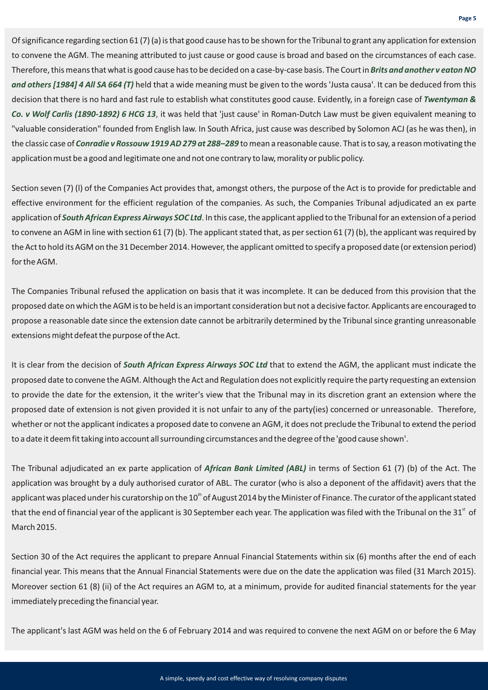Of significance regarding section 61 (7) (a) is that good cause has to be shown for the Tribunal to grant any application for extension to convene the AGM. The meaning attributed to just cause or good cause is broad and based on the circumstances of each case. Therefore, this means that what is good cause has to be decided on a case-by-case basis. The Court in *Brits and another v eaton NO*  and others [1984] 4 All SA 664 (T) held that a wide meaning must be given to the words 'Justa causa'. It can be deduced from this decision that there is no hard and fast rule to establish what constitutes good cause. Evidently, in a foreign case of *Twentyman &*  Co. v Wolf Carlis (1890-1892) 6 HCG 13, it was held that 'just cause' in Roman-Dutch Law must be given equivalent meaning to "valuable consideration" founded from English law. In South Africa, just cause was described by Solomon ACJ (as he was then), in the classic case of *Conradie v Rossouw 1919 AD 279 at 288–289* to mean a reasonable cause. That is to say, a reason motivating the application must be a good and legitimate one and not one contrary to law, morality or public policy.

Section seven (7) (l) of the Companies Act provides that, amongst others, the purpose of the Act is to provide for predictable and effective environment for the efficient regulation of the companies. As such, the Companies Tribunal adjudicated an ex parte application of South African Express Airways SOC Ltd. In this case, the applicant applied to the Tribunal for an extension of a period to convene an AGM in line with section 61 (7) (b). The applicant stated that, as per section 61 (7) (b), the applicant was required by the Act to hold its AGM on the 31 December 2014. However, the applicant omitted to specify a proposed date (or extension period) for the AGM.

The Companies Tribunal refused the application on basis that it was incomplete. It can be deduced from this provision that the proposed date on which the AGM is to be held is an important consideration but not a decisive factor. Applicants are encouraged to propose a reasonable date since the extension date cannot be arbitrarily determined by the Tribunal since granting unreasonable extensions might defeat the purpose of the Act.

It is clear from the decision of South African Express Airways SOC Ltd that to extend the AGM, the applicant must indicate the proposed date to convene the AGM. Although the Act and Regulation does not explicitly require the party requesting an extension to provide the date for the extension, it the writer's view that the Tribunal may in its discretion grant an extension where the proposed date of extension is not given provided it is not unfair to any of the party(ies) concerned or unreasonable. Therefore, whether or not the applicant indicates a proposed date to convene an AGM, it does not preclude the Tribunal to extend the period to a date it deem fit taking into account all surrounding circumstances and the degree of the 'good cause shown'.

The Tribunal adjudicated an ex parte application of *African Bank Limited (ABL)* in terms of Section 61 (7) (b) of the Act. The application was brought by a duly authorised curator of ABL. The curator (who is also a deponent of the affidavit) avers that the applicant was placed under his curatorship on the  $10<sup>th</sup>$  of August 2014 by the Minister of Finance. The curator of the applicant stated that the end of financial year of the applicant is 30 September each year. The application was filed with the Tribunal on the  $31<sup>st</sup>$  of March 2015.

Section 30 of the Act requires the applicant to prepare Annual Financial Statements within six (6) months after the end of each financial year. This means that the Annual Financial Statements were due on the date the application was filed (31 March 2015). Moreover section 61 (8) (ii) of the Act requires an AGM to, at a minimum, provide for audited financial statements for the year immediately preceding the financial year.

The applicant's last AGM was held on the 6 of February 2014 and was required to convene the next AGM on or before the 6 May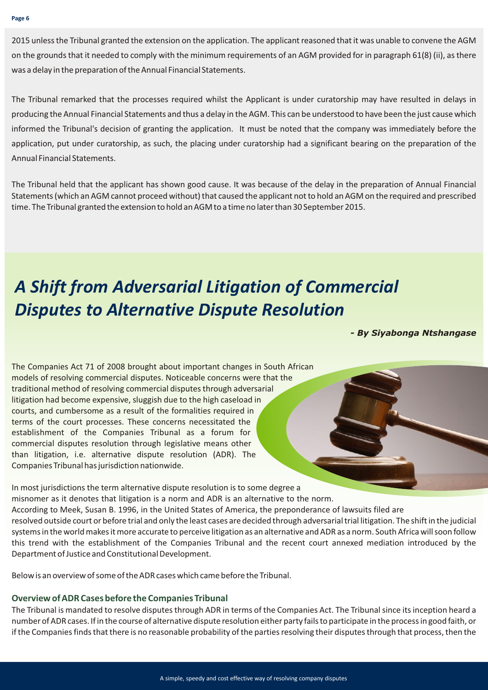2015 unless the Tribunal granted the extension on the application. The applicant reasoned that it was unable to convene the AGM on the grounds that it needed to comply with the minimum requirements of an AGM provided for in paragraph 61(8) (ii), as there was a delay in the preparation of the Annual Financial Statements.

The Tribunal remarked that the processes required whilst the Applicant is under curatorship may have resulted in delays in producing the Annual Financial Statements and thus a delay in the AGM. This can be understood to have been the just cause which informed the Tribunal's decision of granting the application. It must be noted that the company was immediately before the application, put under curatorship, as such, the placing under curatorship had a significant bearing on the preparation of the Annual Financial Statements.

The Tribunal held that the applicant has shown good cause. It was because of the delay in the preparation of Annual Financial Statements (which an AGM cannot proceed without) that caused the applicant not to hold an AGM on the required and prescribed time. The Tribunal granted the extension to hold an AGM to a time no later than 30 September 2015.

## *A Shift from Adversarial Litigation of Commercial Disputes to Alternative Dispute Resolution*

*- By Siyabonga Ntshangase*

The Companies Act 71 of 2008 brought about important changes in South African models of resolving commercial disputes. Noticeable concerns were that the traditional method of resolving commercial disputes through adversarial litigation had become expensive, sluggish due to the high caseload in courts, and cumbersome as a result of the formalities required in terms of the court processes. These concerns necessitated the establishment of the Companies Tribunal as a forum for commercial disputes resolution through legislative means other than litigation, i.e. alternative dispute resolution (ADR). The Companies Tribunal has jurisdiction nationwide.

In most jurisdictions the term alternative dispute resolution is to some degree a misnomer as it denotes that litigation is a norm and ADR is an alternative to the norm. According to Meek, Susan B. 1996, in the United States of America, the preponderance of lawsuits filed are resolved outside court or before trial and only the least cases are decided through adversarial trial litigation. The shift in the judicial systems in the world makes it more accurate to perceive litigation as an alternative and ADR as a norm. South Africa will soon follow this trend with the establishment of the Companies Tribunal and the recent court annexed mediation introduced by the Department of Justice and Constitutional Development.

Below is an overview of some of the ADR cases which came before the Tribunal.

#### **Overview of ADR Cases before the Companies Tribunal**

The Tribunal is mandated to resolve disputes through ADR in terms of the Companies Act. The Tribunal since its inception heard a number of ADR cases. If in the course of alternative dispute resolution either party fails to participate in the process in good faith, or if the Companies finds that there is no reasonable probability of the parties resolving their disputes through that process, then the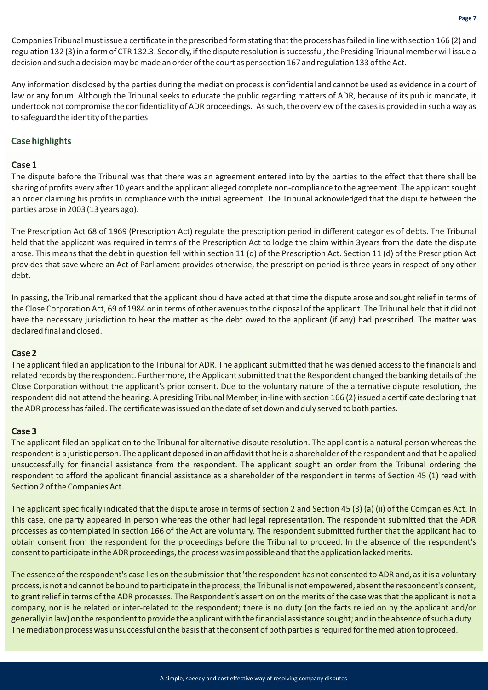Companies Tribunal must issue a certificate in the prescribed form stating that the process has failed in line with section 166 (2) and regulation 132 (3) in a form of CTR 132.3. Secondly, if the dispute resolution is successful, the Presiding Tribunal member will issue a decision and such a decision may be made an order of the court as per section 167 and regulation 133 of the Act.

Any information disclosed by the parties during the mediation process is confidential and cannot be used as evidence in a court of law or any forum. Although the Tribunal seeks to educate the public regarding matters of ADR, because of its public mandate, it undertook not compromise the confidentiality of ADR proceedings. As such, the overview of the cases is provided in such a way as to safeguard the identity of the parties.

#### **Case highlights**

#### **Case 1**

The dispute before the Tribunal was that there was an agreement entered into by the parties to the effect that there shall be sharing of profits every after 10 years and the applicant alleged complete non-compliance to the agreement. The applicant sought an order claiming his profits in compliance with the initial agreement. The Tribunal acknowledged that the dispute between the parties arose in 2003 (13 years ago).

The Prescription Act 68 of 1969 (Prescription Act) regulate the prescription period in different categories of debts. The Tribunal held that the applicant was required in terms of the Prescription Act to lodge the claim within 3years from the date the dispute arose. This means that the debt in question fell within section 11 (d) of the Prescription Act. Section 11 (d) of the Prescription Act provides that save where an Act of Parliament provides otherwise, the prescription period is three years in respect of any other debt.

In passing, the Tribunal remarked that the applicant should have acted at that time the dispute arose and sought relief in terms of the Close Corporation Act, 69 of 1984 or in terms of other avenues to the disposal of the applicant. The Tribunal held that it did not have the necessary jurisdiction to hear the matter as the debt owed to the applicant (if any) had prescribed. The matter was declared final and closed.

#### **Case 2**

The applicant filed an application to the Tribunal for ADR. The applicant submitted that he was denied access to the financials and related records by the respondent. Furthermore, the Applicant submitted that the Respondent changed the banking details of the Close Corporation without the applicant's prior consent. Due to the voluntary nature of the alternative dispute resolution, the respondent did not attend the hearing. A presiding Tribunal Member, in-line with section 166 (2) issued a certificate declaring that the ADR process has failed. The certificate was issued on the date of set down and duly served to both parties.

#### **Case 3**

The applicant filed an application to the Tribunal for alternative dispute resolution. The applicant is a natural person whereas the respondent is a juristic person. The applicant deposed in an affidavit that he is a shareholder of the respondent and that he applied unsuccessfully for financial assistance from the respondent. The applicant sought an order from the Tribunal ordering the respondent to afford the applicant financial assistance as a shareholder of the respondent in terms of Section 45 (1) read with Section 2 of the Companies Act.

The applicant specifically indicated that the dispute arose in terms of section 2 and Section 45 (3) (a) (ii) of the Companies Act. In this case, one party appeared in person whereas the other had legal representation. The respondent submitted that the ADR processes as contemplated in section 166 of the Act are voluntary. The respondent submitted further that the applicant had to obtain consent from the respondent for the proceedings before the Tribunal to proceed. In the absence of the respondent's consent to participate in the ADR proceedings, the process was impossible and that the application lacked merits.

The essence of the respondent's case lies on the submission that 'the respondent has not consented to ADR and, as it is a voluntary process, is not and cannot be bound to participate in the process; the Tribunal is not empowered, absent the respondent's consent, to grant relief in terms of the ADR processes. The Respondent's assertion on the merits of the case was that the applicant is not a company, nor is he related or inter-related to the respondent; there is no duty (on the facts relied on by the applicant and/or generally in law) on the respondent to provide the applicant with the financial assistance sought; and in the absence of such a duty. The mediation process was unsuccessful on the basis that the consent of both parties is required for the mediation to proceed.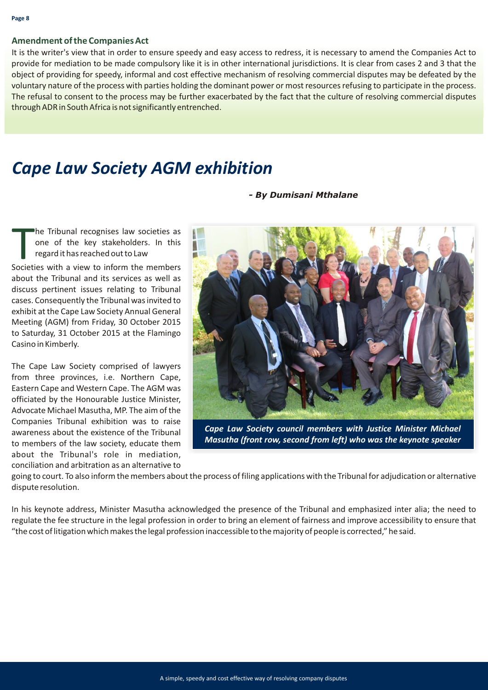#### **Amendment of the Companies Act**

It is the writer's view that in order to ensure speedy and easy access to redress, it is necessary to amend the Companies Act to provide for mediation to be made compulsory like it is in other international jurisdictions. It is clear from cases 2 and 3 that the object of providing for speedy, informal and cost effective mechanism of resolving commercial disputes may be defeated by the voluntary nature of the process with parties holding the dominant power or most resources refusing to participate in the process. The refusal to consent to the process may be further exacerbated by the fact that the culture of resolving commercial disputes through ADR in South Africa is not significantly entrenched.

### *Cape Law Society AGM exhibition*

#### *- By Dumisani Mthalane*

The Tribunal recognises law societies as<br>
one of the key stakeholders. In this<br>
regard it has reached out to Law<br>
Societies with a view to inform the members he Tribunal recognises law societies as one of the key stakeholders. In this regard it has reached out to Law

about the Tribunal and its services as well as discuss pertinent issues relating to Tribunal cases. Consequently the Tribunal was invited to exhibit at the Cape Law Society Annual General Meeting (AGM) from Friday, 30 October 2015 to Saturday, 31 October 2015 at the Flamingo Casino in Kimberly.

The Cape Law Society comprised of lawyers from three provinces, i.e. Northern Cape, Eastern Cape and Western Cape. The AGM was officiated by the Honourable Justice Minister, Advocate Michael Masutha, MP. The aim of the Companies Tribunal exhibition was to raise awareness about the existence of the Tribunal to members of the law society, educate them about the Tribunal's role in mediation, conciliation and arbitration as an alternative to



*Cape Law Society council members with Justice Minister Michael Masutha (front row, second from left) who was the keynote speaker*

going to court. To also inform the members about the process of filing applications with the Tribunal for adjudication or alternative dispute resolution.

In his keynote address, Minister Masutha acknowledged the presence of the Tribunal and emphasized inter alia; the need to regulate the fee structure in the legal profession in order to bring an element of fairness and improve accessibility to ensure that "the cost of litigation which makes the legal profession inaccessible to the majority of people is corrected," he said.